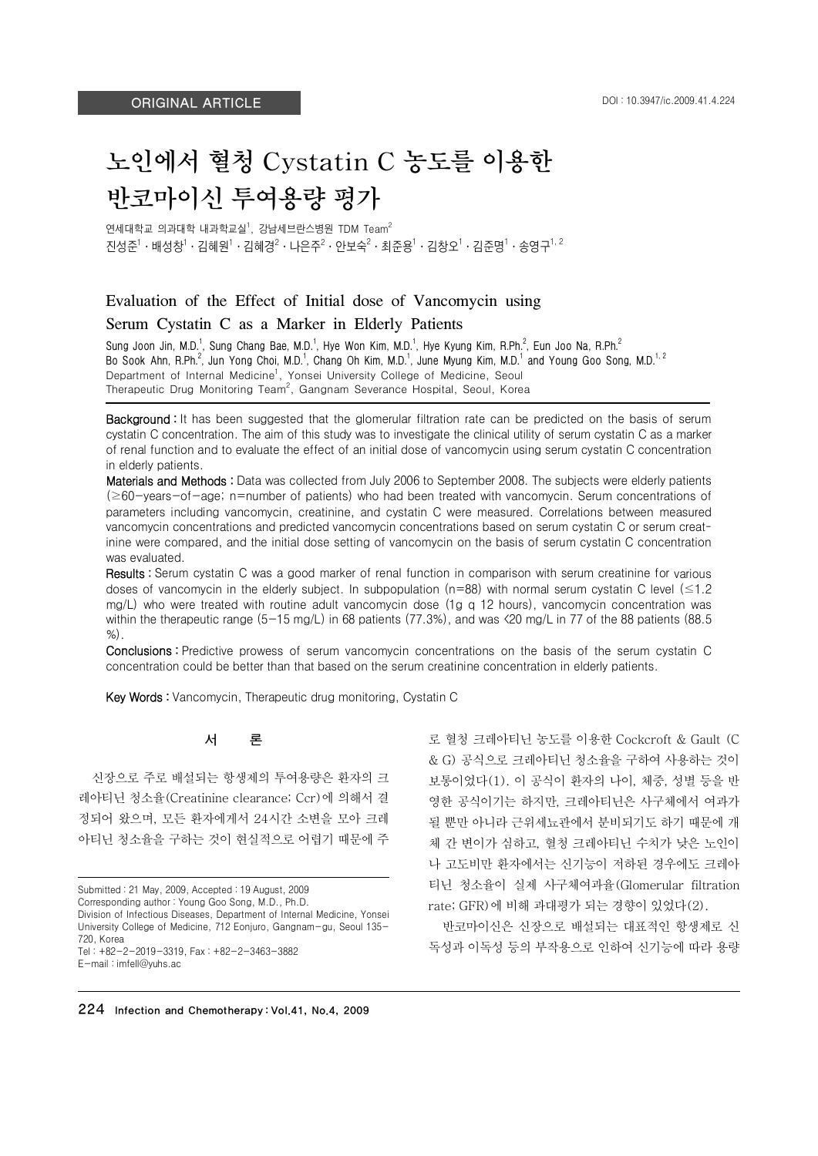# 노인에서 혈청 Cystatin C 농도를 이용한 반코마이신 투여용량 평가

연세대학교 의과대학 내과학교실 $^1$ , 강남세브란스병원 TDM Team $^2$  $\overline{C}$ 선정<sup>1</sup>·김혜원<sup>1</sup>·김혜경<sup>2</sup>·나은주<sup>2</sup>·안보숙<sup>2</sup>·최준용<sup>1</sup>·김창오<sup>1</sup>·김준명<sup>1</sup>·송영구<sup>1, 2</sup>

# Evaluation of the Effect of Initial dose of Vancomycin using Serum Cystatin C as a Marker in Elderly Patients

Sung Joon Jin, M.D.<sup>1</sup>, Sung Chang Bae, M.D.<sup>1</sup>, Hye Won Kim, M.D.<sup>1</sup>, Hye Kyung Kim, R.Ph.<sup>2</sup>, Eun Joo Na, R.Ph.<sup>2</sup> Bo Sook Ahn, R.Ph.<sup>2</sup>, Jun Yong Choi, M.D.<sup>1</sup>, Chang Oh Kim, M.D.<sup>1</sup>, June Myung Kim, M.D.<sup>1</sup> and Young Goo Song, M.D.<sup>1, 2</sup> Department of Internal Medicine<sup>1</sup>, Yonsei University College of Medicine, Seoul Therapeutic Drug Monitoring Team<sup>2</sup>, Gangnam Severance Hospital, Seoul, Korea

Background : It has been suggested that the glomerular filtration rate can be predicted on the basis of serum cystatin C concentration. The aim of this study was to investigate the clinical utility of serum cystatin C as a marker of renal function and to evaluate the effect of an initial dose of vancomycin using serum cystatin C concentration in elderly patients.

Materials and Methods : Data was collected from July 2006 to September 2008. The subjects were elderly patients (≥60-years-of-age; n=number of patients) who had been treated with vancomycin. Serum concentrations of parameters including vancomycin, creatinine, and cystatin C were measured. Correlations between measured vancomycin concentrations and predicted vancomycin concentrations based on serum cystatin C or serum creatinine were compared, and the initial dose setting of vancomycin on the basis of serum cystatin C concentration was evaluated.

Results : Serum cystatin C was a good marker of renal function in comparison with serum creatinine for various doses of vancomycin in the elderly subject. In subpopulation ( $n=88$ ) with normal serum cystatin C level ( $\leq 1.2$ ) mg/L) who were treated with routine adult vancomycin dose (1g q 12 hours), vancomycin concentration was within the therapeutic range (5-15 mg/L) in 68 patients (77.3%), and was  $\langle 20 \text{ mg/L} \rangle$  in 77 of the 88 patients (88.5) %).

Conclusions : Predictive prowess of serum vancomycin concentrations on the basis of the serum cystatin C concentration could be better than that based on the serum creatinine concentration in elderly patients.

Key Words : Vancomycin, Therapeutic drug monitoring, Cystatin C

#### 서 론

신장으로 주로 배설되는 항생제의 투여용량은 환자의 크 레아티닌 청소율(Creatinine clearance; Ccr)에 의해서 결 정되어 왔으며, 모든 환자에게서 24시간 소변을 모아 크레 아티닌 청소율을 구하는 것이 현실적으로 어렵기 때문에 주

Submitted : 21 May, 2009, Accepted : 19 August, 2009 Corresponding author : Young Goo Song, M.D., Ph.D. Division of Infectious Diseases, Department of Internal Medicine, Yonsei University College of Medicine, 712 Eonjuro, Gangnam-gu, Seoul 135- 720, Korea Tel : +82-2-2019-3319, Fax : +82-2-3463-3882 E-mail : imfell@yuhs.ac

로 혈청 크레아티닌 농도를 이용한 Cockcroft & Gault (C & G) 공식으로 크레아티닌 청소율을 구하여 사용하는 것이 보통이었다(1). 이 공식이 환자의 나이, 체중, 성별 등을 반 영한 공식이기는 하지만, 크레아티닌은 사구체에서 여과가 될 뿐만 아니라 근위세뇨관에서 분비되기도 하기 때문에 개 체 간 변이가 심하고, 혈청 크레아티닌 수치가 낮은 노인이 나 고도비만 환자에서는 신기능이 저하된 경우에도 크레아 티닌 청소율이 실제 사구체여과율(Glomerular filtration rate; GFR)에 비해 과대평가 되는 경향이 있었다(2).

반코마이신은 신장으로 배설되는 대표적인 항생제로 신 독성과 이독성 등의 부작용으로 인하여 신기능에 따라 용량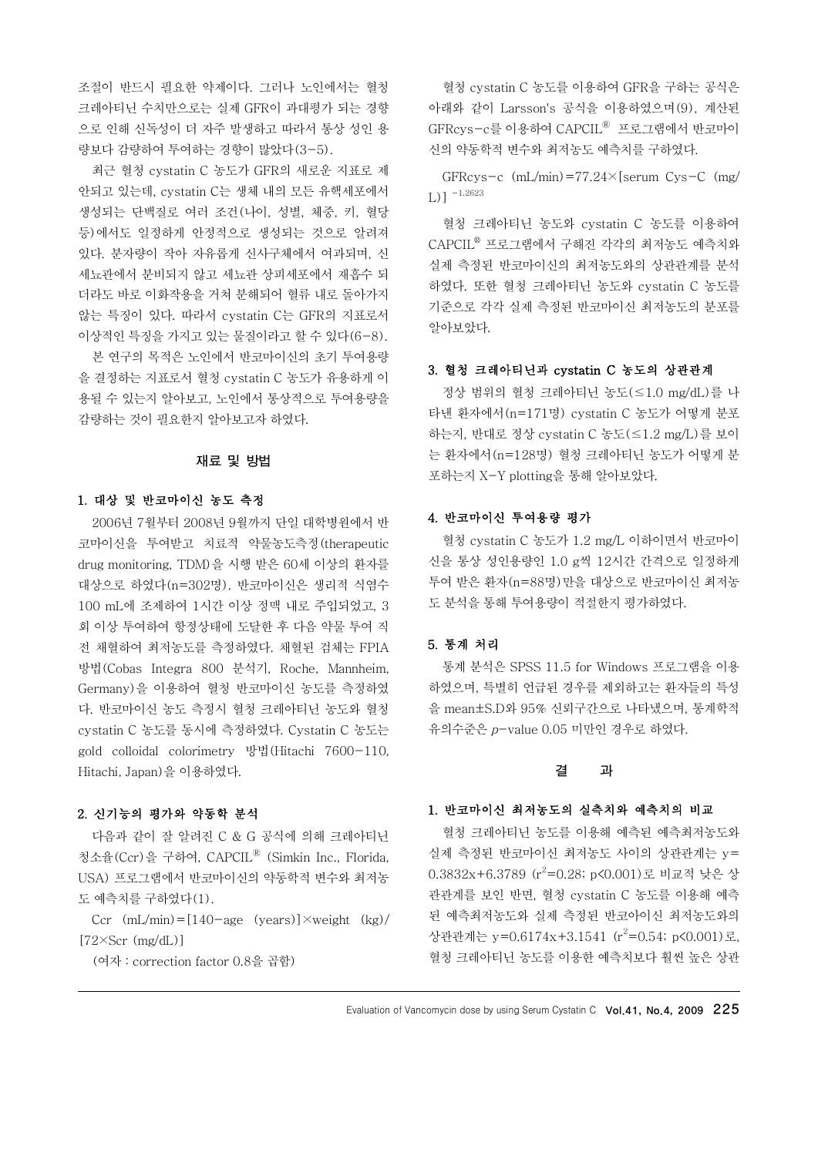조절이 반드시 필요한 약제이다. 그러나 노인에서는 혈청 크레아티닌 수치만으로는 실제 GFR이 과대평가 되는 경향 으로 인해 신독성이 더 자주 발생하고 따라서 통상 성인 용 량보다 감량하여 투여하는 경향이 많았다(3-5).

최근 혈청 cystatin C 농도가 GFR의 새로운 지표로 제 안되고 있는데, cystatin C는 생체 내의 모든 유핵세포에서 생성되는 단백질로 여러 조건(나이, 성별, 체중, 키, 혈당 등)에서도 일정하게 안정적으로 생성되는 것으로 알려져 있다. 분자량이 작아 자유롭게 신사구체에서 여과되며, 신 세뇨관에서 분비되지 않고 세뇨관 상피세포에서 재흡수 되 더라도 바로 이화작용을 거쳐 분해되어 혈류 내로 돌아가지 않는 특징이 있다. 따라서 cystatin C는 GFR의 지표로서 이상적인 특징을 가지고 있는 물질이라고 할 수 있다(6-8).

본 연구의 목적은 노인에서 반코마이신의 초기 투여용량 을 결정하는 지표로서 혈청 cystatin C 농도가 유용하게 이 용될 수 있는지 알아보고, 노인에서 통상적으로 투여용량을 감량하는 것이 필요한지 알아보고자 하였다.

## 재료 및 방법

### 1.대상 및 반코마이신 농도 측정

2006년 7월부터 2008년 9월까지 단일 대학병원에서 반 코마이신을 투여받고 치료적 약물농도측정(therapeutic drug monitoring, TDM)을 시행 받은 60세 이상의 환자를 대상으로 하였다(n=302명). 반코마이신은 생리적 식염수 100 mL에 조제하여 1시간 이상 정맥 내로 주입되었고, 3 회 이상 투여하여 항정상태에 도달한 후 다음 약물 투여 직 전 채혈하여 최저농도를 측정하였다. 채혈된 검체는 FPIA 방법(Cobas Integra 800 분석기, Roche, Mannheim, Germany)을 이용하여 혈청 반코마이신 농도를 측정하였 다. 반코마이신 농도 측정시 혈청 크레아티닌 농도와 혈청 cystatin C 농도를 동시에 측정하였다. Cystatin C 농도는 gold colloidal colorimetry 방법(Hitachi 7600-110, Hitachi, Japan)을 이용하였다.

#### 2.신기능의 평가와 약동학 분석

다음과 같이 잘 알려진 C & G 공식에 의해 크레아티닌 청소율(Ccr)을 구하여, CAPCIL Ⓡ (Simkin Inc., Florida, USA) 프로그램에서 반코마이신의 약동학적 변수와 최저농 도 예측치를 구하였다(1).

Ccr  $(mL/min) = [140 - age (years)] \times weight (kg)$  $[72 \times Scr$  (mg/dL)]

(여자 : correction factor 0.8을 곱함)

혈청 cystatin C 농도를 이용하여 GFR을 구하는 공식은 아래와 같이 Larsson's 공식을 이용하였으며(9), 계산된 GFRcys-c를 이용하여 CAPCIL Ⓡ 프로그램에서 반코마이 신의 약동학적 변수와 최저농도 예측치를 구하였다.

GFRcys-c  $(mL/min) = 77.24 \times$ [serum Cys-C  $(mg/m)$ L)] -1.2623

혈청 크레아티닌 농도와 cystatin C 농도를 이용하여 CAPCIL ® 프로그램에서 구해진 각각의 최저농도 예측치와 실제 측정된 반코마이신의 최저농도와의 상관관계를 분석 하였다. 또한 혈청 크레아티닌 농도와 cystatin C 농도를 기준으로 각각 실제 측정된 반코마이신 최저농도의 분포를 알아보았다.

#### 3.혈청 크레아티닌과 cystatinC 농도의 상관관계

정상 범위의 혈청 크레아티닌 농도(≤1.0 mg/dL)를 나 타낸 환자에서(n=171명) cystatin C 농도가 어떻게 분포 하는지, 반대로 정상 cystatin C 농도(≤1.2 mg/L)를 보이 는 환자에서(n=128명) 혈청 크레아티닌 농도가 어떻게 분 포하는지 X-Y plotting을 통해 알아보았다.

# 4.반코마이신 투여용량 평가

혈청 cystatin C 농도가 1.2 mg/L 이하이면서 반코마이 신을 통상 성인용량인 1.0 g씩 12시간 간격으로 일정하게 투여 받은 환자(n=88명)만을 대상으로 반코마이신 최저농 도 분석을 통해 투여용량이 적절한지 평가하였다.

## 5.통계 처리

통계 분석은 SPSS 11.5 for Windows 프로그램을 이용 하였으며, 특별히 언급된 경우를 제외하고는 환자들의 특성 을 mean±S.D와 95% 신뢰구간으로 나타냈으며, 통계학적 유의수준은 <sup>p</sup>-value 0.05 미만인 경우로 하였다.

#### 결 과

# 1.반코마이신 최저농도의 실측치와 예측치의 비교

혈청 크레아티닌 농도를 이용해 예측된 예측최저농도와 실제 측정된 반코마이신 최저농도 사이의 상관관계는 y= 0.3832x+6.3789 (r <sup>2</sup>=0.28; p<0.001)로 비교적 낮은 상 관관계를 보인 반면, 혈청 cystatin C 농도를 이용해 예측 된 예측최저농도와 실제 측정된 반코아이신 최저농도와의 상관관계는 y=0.6174x+3.1541 (r <sup>2</sup>=0.54; p<0.001)로, 혈청 크레아티닌 농도를 이용한 예측치보다 훨씬 높은 상관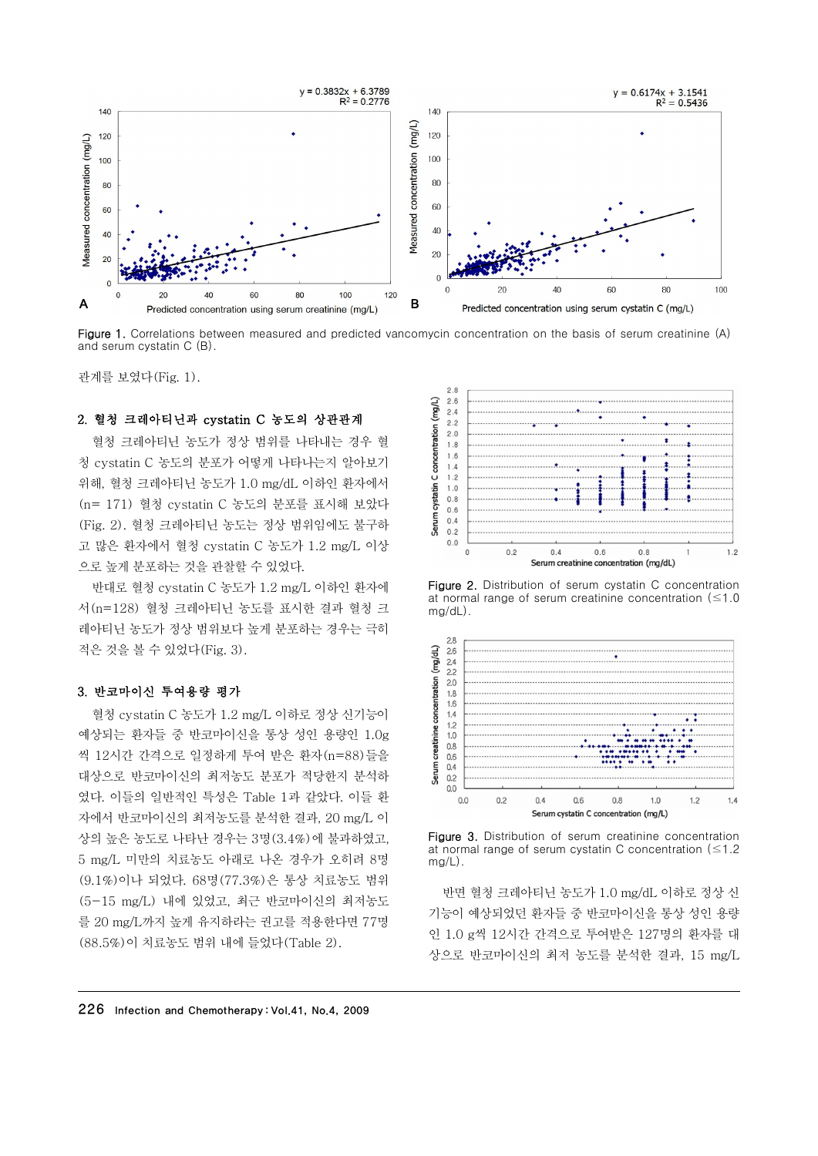

Figure 1. Correlations between measured and predicted vancomycin concentration on the basis of serum creatinine (A) and serum cystatin C (B).

관계를 보였다(Fig. 1).

#### 2.혈청 크레아티닌과 cystatinC 농도의 상관관계

혈청 크레아티닌 농도가 정상 범위를 나타내는 경우 혈 청 cystatin C 농도의 분포가 어떻게 나타나는지 알아보기 위해, 혈청 크레아티닌 농도가 1.0 mg/dL 이하인 환자에서 (n= 171) 혈청 cystatin C 농도의 분포를 표시해 보았다 (Fig. 2). 혈청 크레아티닌 농도는 정상 범위임에도 불구하 고 많은 환자에서 혈청 cystatin C 농도가 1.2 mg/L 이상 으로 높게 분포하는 것을 관찰할 수 있었다.

반대로 혈청 cystatin C 농도가 1.2 mg/L 이하인 환자에 서(n=128) 혈청 크레아티닌 농도를 표시한 결과 혈청 크 레아티닌 농도가 정상 범위보다 높게 분포하는 경우는 극히 적은 것을 볼 수 있었다(Fig. 3).

### 3.반코마이신 투여용량 평가

혈청 cystatin C 농도가 1.2 mg/L 이하로 정상 신기능이 예상되는 환자들 중 반코마이신을 통상 성인 용량인 1.0g 씩 12시간 간격으로 일정하게 투여 받은 환자(n=88)들을 대상으로 반코마이신의 최저농도 분포가 적당한지 분석하 였다. 이들의 일반적인 특성은 Table 1과 같았다. 이들 환 자에서 반코마이신의 최저농도를 분석한 결과, 20 mg/L 이 상의 높은 농도로 나타난 경우는 3명(3.4%)에 불과하였고, 5 mg/L 미만의 치료농도 아래로 나온 경우가 오히려 8명 (9.1%)이나 되었다. 68명(77.3%)은 통상 치료농도 범위 (5-15 mg/L) 내에 있었고, 최근 반코마이신의 최저농도 를 20 mg/L까지 높게 유지하라는 권고를 적용한다면 77명 (88.5%)이 치료농도 범위 내에 들었다(Table 2).



Figure 2. Distribution of serum cystatin C concentration at normal range of serum creatinine concentration  $(\leq 1.0)$ mg/dL).



Figure 3. Distribution of serum creatinine concentration at normal range of serum cystatin C concentration ( $\leq 1.2$ )  $mg/L$ ).

반면 혈청 크레아티닌 농도가 1.0 mg/dL 이하로 정상 신 기능이 예상되었던 환자들 중 반코마이신을 통상 성인 용량 인 1.0 g씩 12시간 간격으로 투여받은 127명의 환자를 대 상으로 반코마이신의 최저 농도를 분석한 결과, 15 mg/L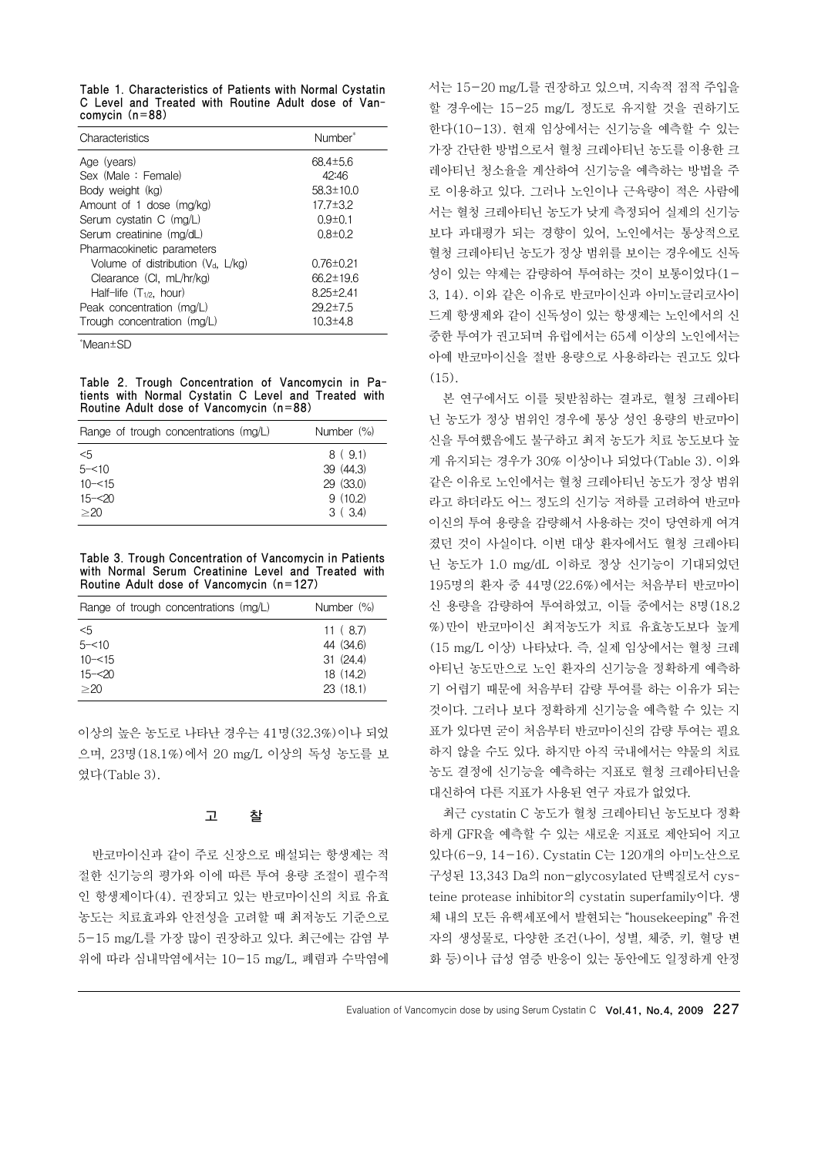Table 1. Characteristics of Patients with Normal Cystatin C Level and Treated with Routine Adult dose of Vancomycin $(n=88)$ 

| Characteristics                      | Number <sup>*</sup> |
|--------------------------------------|---------------------|
| Age (years)                          | $68.4 \pm 5.6$      |
| Sex (Male: Female)                   | 42:46               |
| Body weight (kg)                     | $58.3 \pm 10.0$     |
| Amount of 1 dose (mg/kg)             | $17.7 \pm 3.2$      |
| Serum cystatin C (mg/L)              | $0.9 \pm 0.1$       |
| Serum creatinine (mg/dL)             | $0.8 \pm 0.2$       |
| Pharmacokinetic parameters           |                     |
| Volume of distribution $(V_d, L/kg)$ | $0.76 \pm 0.21$     |
| Clearance (CI, mL/hr/kg)             | $66.2 \pm 19.6$     |
| Half-life $(T_{1/2}, \text{ hour})$  | $8.25 \pm 2.41$     |
| Peak concentration (mg/L)            | $29.2 \pm 7.5$      |
| Trough concentration (mg/L)          | $10.3 + 4.8$        |

\*Mean±SD

Table 2. Trough Concentration of Vancomycin in Patients with Normal Cystatin C Level and Treated with Routine Adult dose of Vancomycin  $(n=88)$ 

| Range of trough concentrations (mg/L) | Number (%) |
|---------------------------------------|------------|
| <5                                    | 8(9.1)     |
| $5 - 10$                              | 39 (44.3)  |
| $10 - 515$                            | 29 (33.0)  |
| $15 - 20$                             | 9(10.2)    |
| >20                                   | 3(3.4)     |

Table 3. Trough Concentration of Vancomycin in Patients with Normal Serum Creatinine Level and Treated with Routine Adult dose of Vancomycin  $(n=127)$ 

| Range of trough concentrations (mg/L) | Number $(\%)$ |
|---------------------------------------|---------------|
| $<$ 5                                 | 11(8.7)       |
| $5 - 10$                              | 44 (34.6)     |
| $10 - 515$                            | 31(24.4)      |
| $15 - 20$                             | 18 (14.2)     |
| >20                                   | 23(18.1)      |

이상의 높은 농도로 나타난 경우는 41명(32.3%)이나 되었 으며, 23명(18.1%)에서 20 mg/L 이상의 독성 농도를 보 였다(Table 3).

# 고 찰

반코마이신과 같이 주로 신장으로 배설되는 항생제는 적 절한 신기능의 평가와 이에 따른 투여 용량 조절이 필수적 인 항생제이다(4). 권장되고 있는 반코마이신의 치료 유효 농도는 치료효과와 안전성을 고려할 때 최저농도 기준으로 5-15 mg/L를 가장 많이 권장하고 있다. 최근에는 감염 부 위에 따라 심내막염에서는 10-15 mg/L, 폐렴과 수막염에

서는 15-20 mg/L를 권장하고 있으며, 지속적 점적 주입을 할 경우에는 15-25 mg/L 정도로 유지할 것을 권하기도 한다(10-13). 현재 임상에서는 신기능을 예측할 수 있는 가장 간단한 방법으로서 혈청 크레아티닌 농도를 이용한 크 레아티닌 청소율을 계산하여 신기능을 예측하는 방법을 주 로 이용하고 있다. 그러나 노인이나 근육량이 적은 사람에 서는 혈청 크레아티닌 농도가 낮게 측정되어 실제의 신기능 보다 과대평가 되는 경향이 있어, 노인에서는 통상적으로 혈청 크레아티닌 농도가 정상 범위를 보이는 경우에도 신독 성이 있는 약제는 감량하여 투여하는 것이 보통이었다(1- 3, 14). 이와 같은 이유로 반코마이신과 아미노글리코사이 드계 항생제와 같이 신독성이 있는 항생제는 노인에서의 신 중한 투여가 권고되며 유럽에서는 65세 이상의 노인에서는 아예 반코마이신을 절반 용량으로 사용하라는 권고도 있다 (15).

본 연구에서도 이를 뒷받침하는 결과로, 혈청 크레아티 닌 농도가 정상 범위인 경우에 통상 성인 용량의 반코마이 신을 투여했음에도 불구하고 최저 농도가 치료 농도보다 높 게 유지되는 경우가 30% 이상이나 되었다(Table 3). 이와 같은 이유로 노인에서는 혈청 크레아티닌 농도가 정상 범위 라고 하더라도 어느 정도의 신기능 저하를 고려하여 반코마 이신의 투여 용량을 감량해서 사용하는 것이 당연하게 여겨 졌던 것이 사실이다. 이번 대상 환자에서도 혈청 크레아티 닌 농도가 1.0 mg/dL 이하로 정상 신기능이 기대되었던 195명의 환자 중 44명(22.6%)에서는 처음부터 반코마이 신 용량을 감량하여 투여하였고, 이들 중에서는 8명(18.2 %)만이 반코마이신 최저농도가 치료 유효농도보다 높게 (15 mg/L 이상) 나타났다. 즉, 실제 임상에서는 혈청 크레 아티닌 농도만으로 노인 환자의 신기능을 정확하게 예측하 기 어렵기 때문에 처음부터 감량 투여를 하는 이유가 되는 것이다. 그러나 보다 정확하게 신기능을 예측할 수 있는 지 표가 있다면 굳이 처음부터 반코마이신의 감량 투여는 필요 하지 않을 수도 있다. 하지만 아직 국내에서는 약물의 치료 농도 결정에 신기능을 예측하는 지표로 혈청 크레아티닌을 대신하여 다른 지표가 사용된 연구 자료가 없었다.

최근 cystatin C 농도가 혈청 크레아티닌 농도보다 정확 하게 GFR을 예측할 수 있는 새로운 지표로 제안되어 지고 있다(6-9, 14-16). Cystatin C는 120개의 아미노산으로 구성된 13,343 Da의 non-glycosylated 단백질로서 cysteine protease inhibitor의 cystatin superfamily이다. 생 체 내의 모든 유핵세포에서 발현되는 "housekeeping" 유전 자의 생성물로, 다양한 조건(나이, 성별, 체중, 키, 혈당 변 화 등)이나 급성 염증 반응이 있는 동안에도 일정하게 안정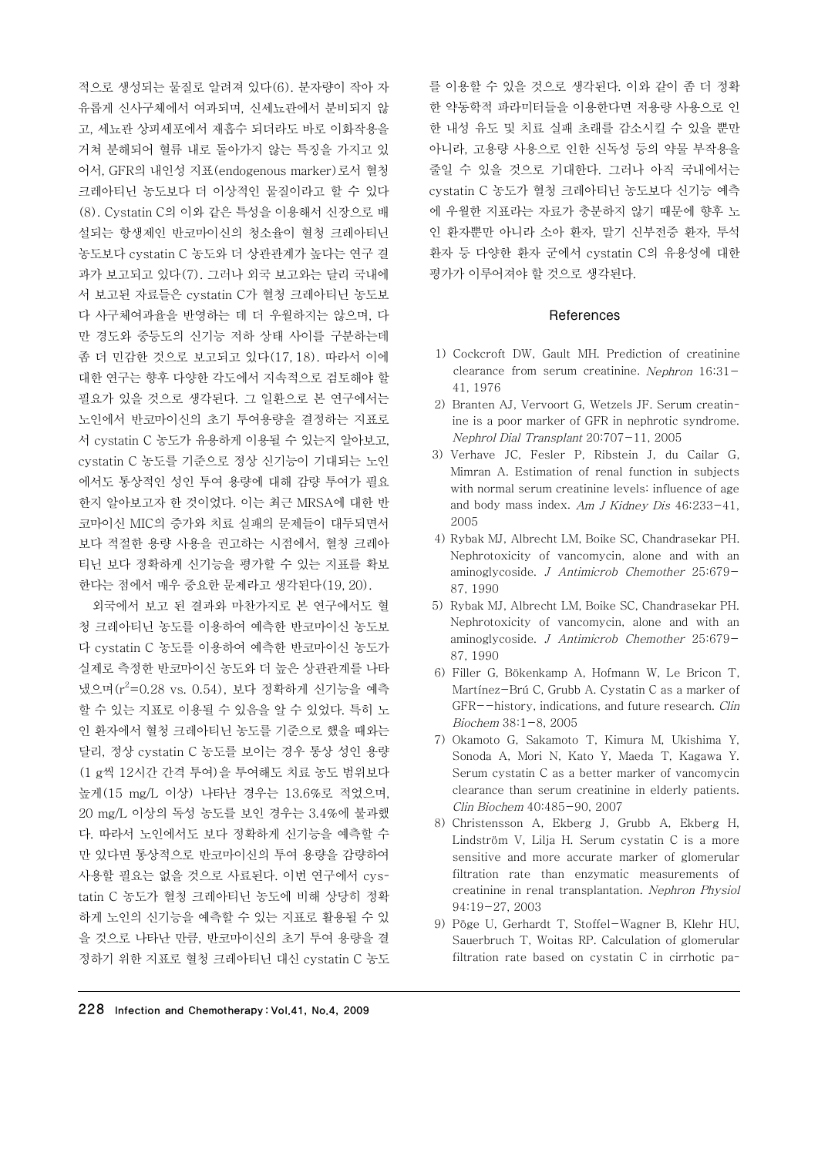적으로 생성되는 물질로 알려져 있다(6). 분자량이 작아 자 유롭게 신사구체에서 여과되며, 신세뇨관에서 분비되지 않 고, 세뇨관 상피세포에서 재흡수 되더라도 바로 이화작용을 거쳐 분해되어 혈류 내로 돌아가지 않는 특징을 가지고 있 어서, GFR의 내인성 지표(endogenous marker)로서 혈청 크레아티닌 농도보다 더 이상적인 물질이라고 할 수 있다 (8). Cystatin C의 이와 같은 특성을 이용해서 신장으로 배 설되는 항생제인 반코마이신의 청소율이 혈청 크레아티닌 농도보다 cystatin C 농도와 더 상관관계가 높다는 연구 결 과가 보고되고 있다(7). 그러나 외국 보고와는 달리 국내에 서 보고된 자료들은 cystatin C가 혈청 크레아티닌 농도보 다 사구체여과율을 반영하는 데 더 우월하지는 않으며, 다 만 경도와 중등도의 신기능 저하 상태 사이를 구분하는데 좀 더 민감한 것으로 보고되고 있다(17, 18). 따라서 이에 대한 연구는 향후 다양한 각도에서 지속적으로 검토해야 할 필요가 있을 것으로 생각된다. 그 일환으로 본 연구에서는 노인에서 반코마이신의 초기 투여용량을 결정하는 지표로 서 cystatin C 농도가 유용하게 이용될 수 있는지 알아보고, cystatin C 농도를 기준으로 정상 신기능이 기대되는 노인 에서도 통상적인 성인 투여 용량에 대해 감량 투여가 필요 한지 알아보고자 한 것이었다. 이는 최근 MRSA에 대한 반 코마이신 MIC의 증가와 치료 실패의 문제들이 대두되면서 보다 적절한 용량 사용을 권고하는 시점에서, 혈청 크레아 티닌 보다 정확하게 신기능을 평가할 수 있는 지표를 확보 한다는 점에서 매우 중요한 문제라고 생각된다(19, 20).

외국에서 보고 된 결과와 마찬가지로 본 연구에서도 혈 청 크레아티닌 농도를 이용하여 예측한 반코마이신 농도보 다 cystatin C 농도를 이용하여 예측한 반코마이신 농도가 실제로 측정한 반코마이신 농도와 더 높은 상관관계를 나타 냈으며(r <sup>2</sup>=0.28 vs. 0.54), 보다 정확하게 신기능을 예측 할 수 있는 지표로 이용될 수 있음을 알 수 있었다. 특히 노 인 환자에서 혈청 크레아티닌 농도를 기준으로 했을 때와는 달리, 정상 cystatin C 농도를 보이는 경우 통상 성인 용량 (1 g씩 12시간 간격 투여)을 투여해도 치료 농도 범위보다 높게(15 mg/L 이상) 나타난 경우는 13.6%로 적었으며, 20 mg/L 이상의 독성 농도를 보인 경우는 3.4%에 불과했 다. 따라서 노인에서도 보다 정확하게 신기능을 예측할 수 만 있다면 통상적으로 반코마이신의 투여 용량을 감량하여 사용할 필요는 없을 것으로 사료된다. 이번 연구에서 cystatin C 농도가 혈청 크레아티닌 농도에 비해 상당히 정확 하게 노인의 신기능을 예측할 수 있는 지표로 활용될 수 있 을 것으로 나타난 만큼, 반코마이신의 초기 투여 용량을 결 정하기 위한 지표로 혈청 크레아티닌 대신 cystatin C 농도

를 이용할 수 있을 것으로 생각된다. 이와 같이 좀 더 정확 한 약동학적 파라미터들을 이용한다면 저용량 사용으로 인 한 내성 유도 및 치료 실패 초래를 감소시킬 수 있을 뿐만 아니라, 고용량 사용으로 인한 신독성 등의 약물 부작용을 줄일 수 있을 것으로 기대한다. 그러나 아직 국내에서는 cystatin C 농도가 혈청 크레아티닌 농도보다 신기능 예측 에 우월한 지표라는 자료가 충분하지 않기 때문에 향후 노 인 환자뿐만 아니라 소아 환자, 말기 신부전증 환자, 투석 환자 등 다양한 환자 군에서 cystatin C의 유용성에 대한 평가가 이루어져야 할 것으로 생각된다.

#### References

- 1) Cockcroft DW, Gault MH. Prediction of creatinine clearance from serum creatinine. Nephron 16:31- 41, 1976
- 2) Branten AJ, Vervoort G, Wetzels JF. Serum creatinine is a poor marker of GFR in nephrotic syndrome. Nephrol Dial Transplant 20:707-11, 2005
- 3) Verhave JC, Fesler P, Ribstein J, du Cailar G, Mimran A. Estimation of renal function in subjects with normal serum creatinine levels: influence of age and body mass index. Am J Kidney Dis  $46:233-41$ , 2005
- 4) Rybak MJ, Albrecht LM, Boike SC, Chandrasekar PH. Nephrotoxicity of vancomycin, alone and with an aminoglycoside. J Antimicrob Chemother 25:679- 87, 1990
- 5) Rybak MJ, Albrecht LM, Boike SC, Chandrasekar PH. Nephrotoxicity of vancomycin, alone and with an aminoglycoside. J Antimicrob Chemother 25:679- 87, 1990
- 6) Filler G, Bökenkamp A, Hofmann W, Le Bricon T, Martínez-Brú C, Grubb A. Cystatin C as a marker of GFR--history, indications, and future research. Clin Biochem 38:1-8, 2005
- 7) Okamoto G, Sakamoto T, Kimura M, Ukishima Y, Sonoda A, Mori N, Kato Y, Maeda T, Kagawa Y. Serum cystatin C as a better marker of vancomycin clearance than serum creatinine in elderly patients. Clin Biochem 40:485-90, 2007
- 8) Christensson A, Ekberg J, Grubb A, Ekberg H, Lindström V, Lilja H. Serum cystatin C is a more sensitive and more accurate marker of glomerular filtration rate than enzymatic measurements of creatinine in renal transplantation. Nephron Physiol 94:19-27, 2003
- 9) Pöge U, Gerhardt T, Stoffel-Wagner B, Klehr HU, Sauerbruch T, Woitas RP. Calculation of glomerular filtration rate based on cystatin C in cirrhotic pa-